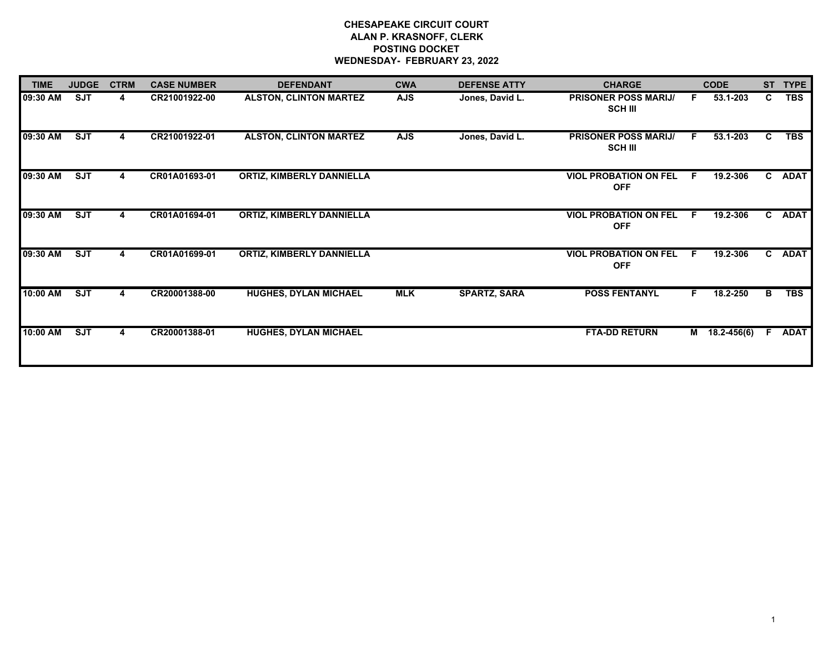# **CHESAPEAKE CIRCUIT COURT ALAN P. KRASNOFF, CLERK POSTING DOCKET WEDNESDAY- FEBRUARY 23, 2022**

| <b>TIME</b> | <b>JUDGE</b> | <b>CTRM</b> | <b>CASE NUMBER</b> | <b>DEFENDANT</b>                 | <b>CWA</b> | <b>DEFENSE ATTY</b> | <b>CHARGE</b>                                 |    | <b>CODE</b>   | <b>ST</b>    | <b>TYPE</b> |
|-------------|--------------|-------------|--------------------|----------------------------------|------------|---------------------|-----------------------------------------------|----|---------------|--------------|-------------|
| 09:30 AM    | <b>SJT</b>   | 4           | CR21001922-00      | <b>ALSTON, CLINTON MARTEZ</b>    | <b>AJS</b> | Jones, David L.     | <b>PRISONER POSS MARIJ/</b><br><b>SCH III</b> | F. | 53.1-203      | C.           | <b>TBS</b>  |
| 09:30 AM    | <b>SJT</b>   |             | CR21001922-01      | <b>ALSTON, CLINTON MARTEZ</b>    | <b>AJS</b> | Jones, David L.     | <b>PRISONER POSS MARIJ/</b><br><b>SCH III</b> | F. | 53.1-203      | C.           | <b>TBS</b>  |
| 09:30 AM    | SJT          | 4           | CR01A01693-01      | <b>ORTIZ, KIMBERLY DANNIELLA</b> |            |                     | <b>VIOL PROBATION ON FEL</b><br><b>OFF</b>    | F. | 19.2-306      |              | C ADAT      |
| 09:30 AM    | <b>SJT</b>   | 4           | CR01A01694-01      | <b>ORTIZ, KIMBERLY DANNIELLA</b> |            |                     | <b>VIOL PROBATION ON FEL</b><br><b>OFF</b>    | F. | 19.2-306      |              | C ADAT      |
| 09:30 AM    | <b>SJT</b>   | 4           | CR01A01699-01      | <b>ORTIZ, KIMBERLY DANNIELLA</b> |            |                     | <b>VIOL PROBATION ON FEL</b><br><b>OFF</b>    | F. | 19.2-306      | $\mathbf{c}$ | ADAT        |
| 10:00 AM    | SJT          |             | CR20001388-00      | <b>HUGHES, DYLAN MICHAEL</b>     | <b>MLK</b> | <b>SPARTZ, SARA</b> | <b>POSS FENTANYL</b>                          | F. | 18.2-250      | B.           | <b>TBS</b>  |
| 10:00 AM    | <b>SJT</b>   |             | CR20001388-01      | <b>HUGHES, DYLAN MICHAEL</b>     |            |                     | <b>FTA-DD RETURN</b>                          |    | M 18.2-456(6) |              | <b>ADAT</b> |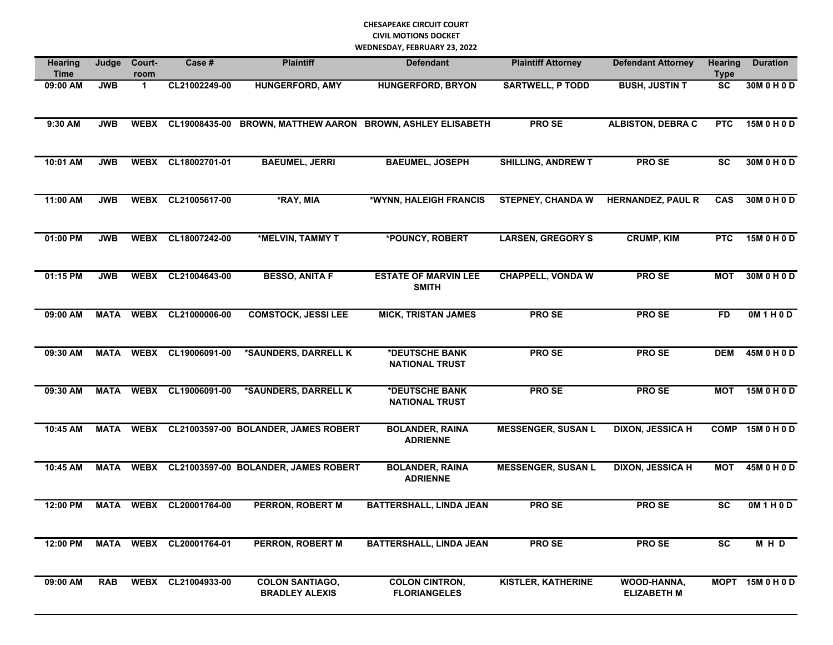| Hearing<br><b>Time</b> | Judge       | Court-<br>room | Case #                  | <b>Plaintiff</b>                                | <b>Defendant</b>                                           | <b>Plaintiff Attorney</b> | <b>Defendant Attorney</b>         | <b>Hearing</b><br><b>Type</b> | <b>Duration</b>  |
|------------------------|-------------|----------------|-------------------------|-------------------------------------------------|------------------------------------------------------------|---------------------------|-----------------------------------|-------------------------------|------------------|
| 09:00 AM               | <b>JWB</b>  | $\mathbf 1$    | CL21002249-00           | <b>HUNGERFORD, AMY</b>                          | <b>HUNGERFORD, BRYON</b>                                   | <b>SARTWELL, P TODD</b>   | <b>BUSH, JUSTIN T</b>             | <b>SC</b>                     | 30M 0 H 0 D      |
| 9:30 AM                | <b>JWB</b>  | <b>WEBX</b>    |                         |                                                 | CL19008435-00 BROWN, MATTHEW AARON BROWN, ASHLEY ELISABETH | PRO SE                    | <b>ALBISTON, DEBRA C</b>          | <b>PTC</b>                    | 15M 0 H 0 D      |
| 10:01 AM               | <b>JWB</b>  | <b>WEBX</b>    | CL18002701-01           | <b>BAEUMEL, JERRI</b>                           | <b>BAEUMEL, JOSEPH</b>                                     | <b>SHILLING, ANDREW T</b> | <b>PROSE</b>                      | <b>SC</b>                     | 30M 0 H 0 D      |
| 11:00 AM               | <b>JWB</b>  | <b>WEBX</b>    | CL21005617-00           | *RAY, MIA                                       | *WYNN, HALEIGH FRANCIS                                     | <b>STEPNEY, CHANDA W</b>  | <b>HERNANDEZ, PAUL R</b>          | <b>CAS</b>                    | 30M 0 H 0 D      |
| 01:00 PM               | <b>JWB</b>  | <b>WEBX</b>    | CL18007242-00           | *MELVIN, TAMMY T                                | *POUNCY, ROBERT                                            | <b>LARSEN, GREGORY S</b>  | <b>CRUMP, KIM</b>                 | <b>PTC</b>                    | 15M 0 H 0 D      |
| 01:15 PM               | <b>JWB</b>  | <b>WEBX</b>    | CL21004643-00           | <b>BESSO, ANITA F</b>                           | <b>ESTATE OF MARVIN LEE</b><br><b>SMITH</b>                | <b>CHAPPELL, VONDA W</b>  | PRO SE                            | <b>MOT</b>                    | 30M 0 H 0 D      |
| 09:00 AM               | <b>MATA</b> | <b>WEBX</b>    | CL21000006-00           | <b>COMSTOCK, JESSI LEE</b>                      | <b>MICK, TRISTAN JAMES</b>                                 | PRO SE                    | <b>PROSE</b>                      | <b>FD</b>                     | OM1H0D           |
| 09:30 AM               | <b>MATA</b> | <b>WEBX</b>    | CL19006091-00           | *SAUNDERS, DARRELL K                            | *DEUTSCHE BANK<br><b>NATIONAL TRUST</b>                    | <b>PROSE</b>              | <b>PROSE</b>                      | <b>DEM</b>                    | 45M 0 H 0 D      |
| 09:30 AM               | <b>MATA</b> | <b>WEBX</b>    | CL19006091-00           | *SAUNDERS, DARRELL K                            | *DEUTSCHE BANK<br><b>NATIONAL TRUST</b>                    | PRO SE                    | <b>PROSE</b>                      | <b>MOT</b>                    | 15M 0 H 0 D      |
| 10:45 AM               | <b>MATA</b> | <b>WEBX</b>    |                         | CL21003597-00 BOLANDER, JAMES ROBERT            | <b>BOLANDER, RAINA</b><br><b>ADRIENNE</b>                  | <b>MESSENGER, SUSAN L</b> | <b>DIXON, JESSICA H</b>           | <b>COMP</b>                   | 15M 0 H 0 D      |
| 10:45 AM               | <b>MATA</b> | <b>WEBX</b>    |                         | CL21003597-00 BOLANDER, JAMES ROBERT            | <b>BOLANDER, RAINA</b><br><b>ADRIENNE</b>                  | <b>MESSENGER, SUSAN L</b> | <b>DIXON, JESSICA H</b>           | <b>MOT</b>                    | 45M 0 H 0 D      |
| 12:00 PM               | <b>MATA</b> | <b>WEBX</b>    | CL20001764-00           | <b>PERRON, ROBERT M</b>                         | <b>BATTERSHALL, LINDA JEAN</b>                             | <b>PROSE</b>              | <b>PROSE</b>                      | <b>SC</b>                     | OM1H0D           |
| 12:00 PM               |             |                | MATA WEBX CL20001764-01 | PERRON, ROBERT M                                | <b>BATTERSHALL, LINDA JEAN</b>                             | <b>PROSE</b>              | <b>PROSE</b>                      | $\overline{sc}$               | MHD              |
| 09:00 AM               | <b>RAB</b>  |                | WEBX CL21004933-00      | <b>COLON SANTIAGO,</b><br><b>BRADLEY ALEXIS</b> | <b>COLON CINTRON,</b><br><b>FLORIANGELES</b>               | <b>KISTLER, KATHERINE</b> | WOOD-HANNA,<br><b>ELIZABETH M</b> |                               | MOPT 15M 0 H 0 D |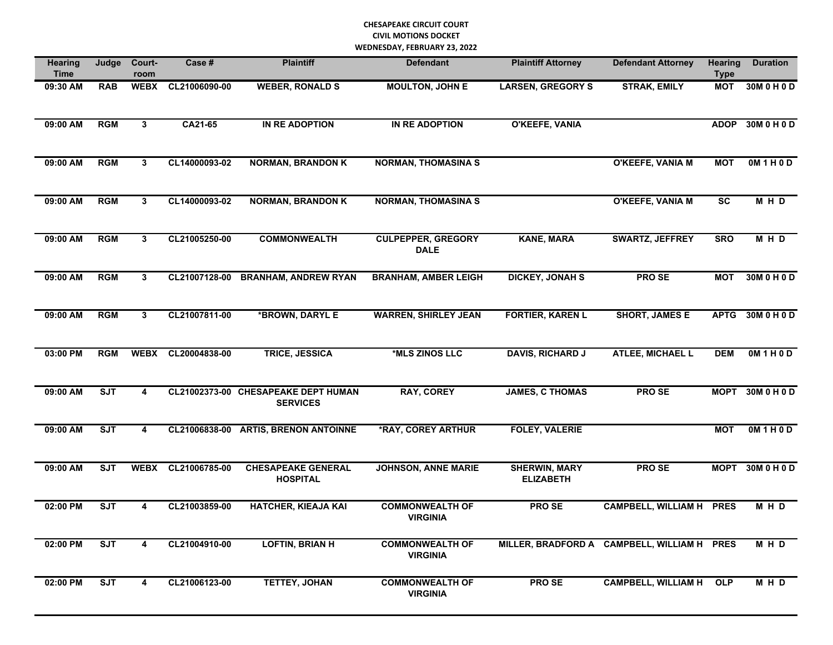| <b>Hearing</b><br>Time | Judge                   | Court-<br>room | Case #        | <b>Plaintiff</b>                                       | <b>Defendant</b>                          | <b>Plaintiff Attorney</b>                | <b>Defendant Attorney</b>                   | <b>Hearing</b><br><b>Type</b> | <b>Duration</b>  |
|------------------------|-------------------------|----------------|---------------|--------------------------------------------------------|-------------------------------------------|------------------------------------------|---------------------------------------------|-------------------------------|------------------|
| 09:30 AM               | <b>RAB</b>              | <b>WEBX</b>    | CL21006090-00 | <b>WEBER, RONALD S</b>                                 | <b>MOULTON, JOHN E</b>                    | <b>LARSEN, GREGORY S</b>                 | <b>STRAK, EMILY</b>                         | <b>MOT</b>                    | 30M 0 H 0 D      |
| 09:00 AM               | <b>RGM</b>              | $\mathbf{3}$   | CA21-65       | IN RE ADOPTION                                         | <b>IN RE ADOPTION</b>                     | <b>O'KEEFE, VANIA</b>                    |                                             | <b>ADOP</b>                   | 30M 0 H 0 D      |
| 09:00 AM               | <b>RGM</b>              | $\mathbf{3}$   | CL14000093-02 | <b>NORMAN, BRANDON K</b>                               | <b>NORMAN, THOMASINA S</b>                |                                          | O'KEEFE, VANIA M                            | <b>MOT</b>                    | 0M 1 H 0 D       |
| 09:00 AM               | <b>RGM</b>              | 3              | CL14000093-02 | <b>NORMAN, BRANDON K</b>                               | <b>NORMAN, THOMASINA S</b>                |                                          | O'KEEFE, VANIA M                            | $\overline{SC}$               | MHD              |
| 09:00 AM               | <b>RGM</b>              | 3              | CL21005250-00 | <b>COMMONWEALTH</b>                                    | <b>CULPEPPER, GREGORY</b><br><b>DALE</b>  | <b>KANE, MARA</b>                        | <b>SWARTZ, JEFFREY</b>                      | <b>SRO</b>                    | MHD              |
| 09:00 AM               | <b>RGM</b>              | 3              | CL21007128-00 | <b>BRANHAM, ANDREW RYAN</b>                            | <b>BRANHAM, AMBER LEIGH</b>               | <b>DICKEY, JONAH S</b>                   | <b>PROSE</b>                                | <b>MOT</b>                    | 30M 0 H 0 D      |
| 09:00 AM               | <b>RGM</b>              | 3              | CL21007811-00 | *BROWN, DARYL E                                        | <b>WARREN, SHIRLEY JEAN</b>               | <b>FORTIER, KAREN L</b>                  | <b>SHORT, JAMES E</b>                       | <b>APTG</b>                   | 30M 0 H 0 D      |
| 03:00 PM               | <b>RGM</b>              | <b>WEBX</b>    | CL20004838-00 | <b>TRICE, JESSICA</b>                                  | *MLS ZINOS LLC                            | <b>DAVIS, RICHARD J</b>                  | <b>ATLEE, MICHAEL L</b>                     | <b>DEM</b>                    | OM1H0D           |
| 09:00 AM               | ST                      | 4              |               | CL21002373-00 CHESAPEAKE DEPT HUMAN<br><b>SERVICES</b> | <b>RAY, COREY</b>                         | <b>JAMES, C THOMAS</b>                   | <b>PROSE</b>                                |                               | MOPT 30M 0 H 0 D |
| 09:00 AM               | $\overline{\text{SJT}}$ | 4              |               | CL21006838-00 ARTIS, BRENON ANTOINNE                   | <b><i>*RAY, COREY ARTHUR</i></b>          | <b>FOLEY, VALERIE</b>                    |                                             | <b>MOT</b>                    | 0M 1 H 0 D       |
| 09:00 AM               | <b>SJT</b>              | <b>WEBX</b>    | CL21006785-00 | <b>CHESAPEAKE GENERAL</b><br><b>HOSPITAL</b>           | <b>JOHNSON, ANNE MARIE</b>                | <b>SHERWIN, MARY</b><br><b>ELIZABETH</b> | PRO SE                                      |                               | MOPT 30M 0 H 0 D |
| 02:00 PM               | $\overline{\text{SJT}}$ | 4              | CL21003859-00 | <b>HATCHER, KIEAJA KAI</b>                             | <b>COMMONWEALTH OF</b><br><b>VIRGINIA</b> | <b>PROSE</b>                             | <b>CAMPBELL, WILLIAM H</b>                  | <b>PRES</b>                   | M H D            |
| 02:00 PM               | $\overline{\text{SJT}}$ | 4              | CL21004910-00 | <b>LOFTIN, BRIAN H</b>                                 | <b>COMMONWEALTH OF</b><br><b>VIRGINIA</b> |                                          | MILLER, BRADFORD A CAMPBELL, WILLIAM H PRES |                               | MHD              |
| 02:00 PM               | <b>SJT</b>              | 4              | CL21006123-00 | <b>TETTEY, JOHAN</b>                                   | <b>COMMONWEALTH OF</b><br><b>VIRGINIA</b> | PRO SE                                   | <b>CAMPBELL, WILLIAM H</b>                  | <b>OLP</b>                    | MHD              |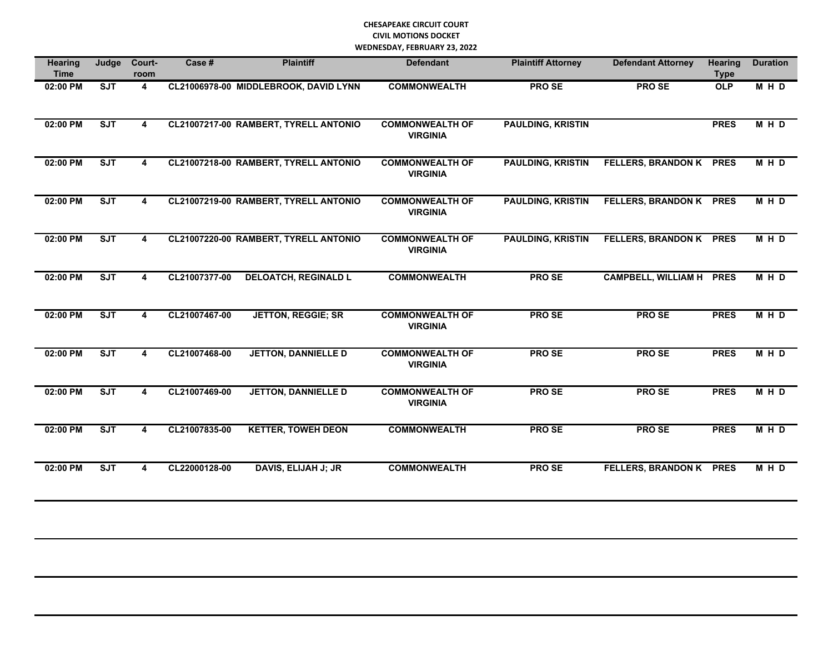| <b>Hearing</b><br><b>Time</b> | Judge                   | Court-<br>room | Case #        | <b>Plaintiff</b>                      | <b>Defendant</b>                          | <b>Plaintiff Attorney</b> | <b>Defendant Attorney</b>      | <b>Hearing</b><br><b>Type</b> | <b>Duration</b> |
|-------------------------------|-------------------------|----------------|---------------|---------------------------------------|-------------------------------------------|---------------------------|--------------------------------|-------------------------------|-----------------|
| 02:00 PM                      | <b>SJT</b>              | $\overline{4}$ |               | CL21006978-00 MIDDLEBROOK, DAVID LYNN | <b>COMMONWEALTH</b>                       | <b>PROSE</b>              | PRO SE                         | OLP                           | M H D           |
| $02:00$ PM                    | <b>SJT</b>              | 4              |               | CL21007217-00 RAMBERT, TYRELL ANTONIO | <b>COMMONWEALTH OF</b><br><b>VIRGINIA</b> | <b>PAULDING, KRISTIN</b>  |                                | <b>PRES</b>                   | M H D           |
| 02:00 PM                      | ST                      | 4              |               | CL21007218-00 RAMBERT, TYRELL ANTONIO | <b>COMMONWEALTH OF</b><br><b>VIRGINIA</b> | <b>PAULDING, KRISTIN</b>  | <b>FELLERS, BRANDON K PRES</b> |                               | M H D           |
| $02:00$ PM                    | SJT                     | 4              |               | CL21007219-00 RAMBERT, TYRELL ANTONIO | <b>COMMONWEALTH OF</b><br><b>VIRGINIA</b> | <b>PAULDING, KRISTIN</b>  | <b>FELLERS, BRANDON K PRES</b> |                               | M H D           |
| 02:00 PM                      | ST                      | 4              |               | CL21007220-00 RAMBERT, TYRELL ANTONIO | <b>COMMONWEALTH OF</b><br><b>VIRGINIA</b> | <b>PAULDING, KRISTIN</b>  | FELLERS, BRANDON K PRES        |                               | <b>MHD</b>      |
| 02:00 PM                      | ST                      | 4              | CL21007377-00 | <b>DELOATCH, REGINALD L</b>           | <b>COMMONWEALTH</b>                       | <b>PROSE</b>              | <b>CAMPBELL, WILLIAM H</b>     | <b>PRES</b>                   | M H D           |
| 02:00 PM                      | ST                      | 4              | CL21007467-00 | <b>JETTON, REGGIE; SR</b>             | <b>COMMONWEALTH OF</b><br><b>VIRGINIA</b> | <b>PROSE</b>              | <b>PROSE</b>                   | <b>PRES</b>                   | MHD             |
| 02:00 PM                      | $\overline{\text{SJT}}$ | 4              | CL21007468-00 | <b>JETTON, DANNIELLE D</b>            | <b>COMMONWEALTH OF</b><br><b>VIRGINIA</b> | <b>PROSE</b>              | <b>PROSE</b>                   | <b>PRES</b>                   | MHD             |
| 02:00 PM                      | SJT                     | 4              | CL21007469-00 | <b>JETTON, DANNIELLE D</b>            | <b>COMMONWEALTH OF</b><br><b>VIRGINIA</b> | <b>PROSE</b>              | PRO SE                         | <b>PRES</b>                   | M H D           |
| 02:00 PM                      | SJT                     | 4              | CL21007835-00 | <b>KETTER, TOWEH DEON</b>             | <b>COMMONWEALTH</b>                       | <b>PROSE</b>              | <b>PROSE</b>                   | <b>PRES</b>                   | M H D           |
| 02:00 PM                      | ST                      | 4              | CL22000128-00 | <b>DAVIS, ELIJAH J; JR</b>            | <b>COMMONWEALTH</b>                       | <b>PROSE</b>              | <b>FELLERS, BRANDON K PRES</b> |                               | M H D           |